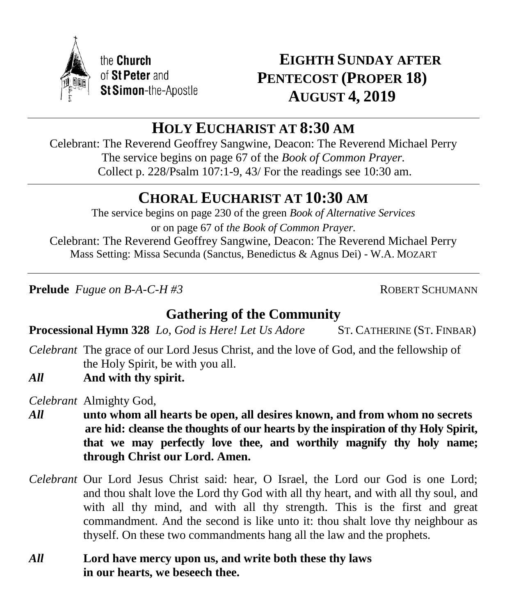

# **EIGHTH SUNDAY AFTER PENTECOST (PROPER 18) AUGUST 4, 2019**

# **HOLY EUCHARIST AT 8:30 AM**

Celebrant: The Reverend Geoffrey Sangwine, Deacon: The Reverend Michael Perry The service begins on page 67 of the *Book of Common Prayer.* Collect p. 228/Psalm 107:1-9, 43/ For the readings see 10:30 am.

# **CHORAL EUCHARIST AT 10:30 AM**

The service begins on page 230 of the green *Book of Alternative Services* or on page 67 of *the Book of Common Prayer.* Celebrant: The Reverend Geoffrey Sangwine, Deacon: The Reverend Michael Perry Mass Setting: Missa Secunda (Sanctus, Benedictus & Agnus Dei) - W.A. MOZART

**Prelude** *Fugue on B-A-C-H #3* ROBERT SCHUMANN

# **Gathering of the Community**

**Processional Hymn 328** *Lo, God is Here! Let Us Adore* ST. CATHERINE (ST. FINBAR)

- *Celebrant* The grace of our Lord Jesus Christ, and the love of God, and the fellowship of the Holy Spirit, be with you all.
- *All* **And with thy spirit.**

*Celebrant* Almighty God,

- *All* **unto whom all hearts be open, all desires known, and from whom no secrets are hid: cleanse the thoughts of our hearts by the inspiration of thy Holy Spirit, that we may perfectly love thee, and worthily magnify thy holy name; through Christ our Lord. Amen.**
- *Celebrant* Our Lord Jesus Christ said: hear, O Israel, the Lord our God is one Lord; and thou shalt love the Lord thy God with all thy heart, and with all thy soul, and with all thy mind, and with all thy strength. This is the first and great commandment. And the second is like unto it: thou shalt love thy neighbour as thyself. On these two commandments hang all the law and the prophets.
- *All* **Lord have mercy upon us, and write both these thy laws in our hearts, we beseech thee.**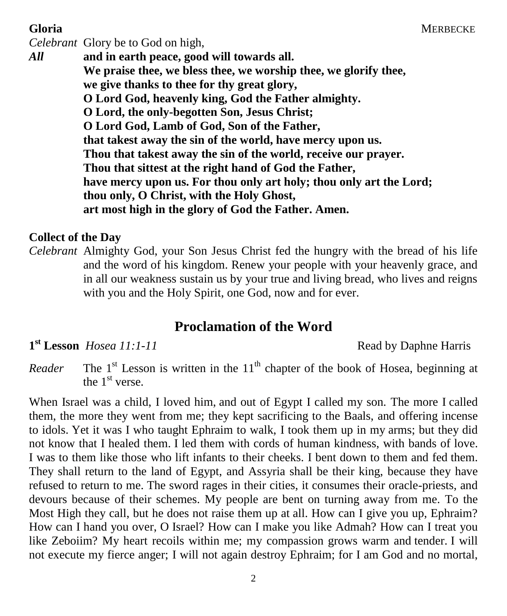#### **Gloria** MERBECKE

*Celebrant* Glory be to God on high, *All* **and in earth peace, good will towards all. We praise thee, we bless thee, we worship thee, we glorify thee, we give thanks to thee for thy great glory, O Lord God, heavenly king, God the Father almighty. O Lord, the only-begotten Son, Jesus Christ; O Lord God, Lamb of God, Son of the Father, that takest away the sin of the world, have mercy upon us. Thou that takest away the sin of the world, receive our prayer. Thou that sittest at the right hand of God the Father, have mercy upon us. For thou only art holy; thou only art the Lord; thou only, O Christ, with the Holy Ghost, art most high in the glory of God the Father. Amen.**

#### **Collect of the Day**

*Celebrant* Almighty God, your Son Jesus Christ fed the hungry with the bread of his life and the word of his kingdom. Renew your people with your heavenly grace, and in all our weakness sustain us by your true and living bread, who lives and reigns with you and the Holy Spirit, one God, now and for ever.

## **Proclamation of the Word**

**1 st Lesson** *Hosea 11:1-11* Read by Daphne Harris

*Reader* The  $1<sup>st</sup>$  Lesson is written in the  $11<sup>th</sup>$  chapter of the book of Hosea, beginning at the  $1<sup>st</sup>$  verse.

When Israel was a child, I loved him, and out of Egypt I called my son. The more I called them, the more they went from me; they kept sacrificing to the Baals, and offering incense to idols. Yet it was I who taught Ephraim to walk, I took them up in my arms; but they did not know that I healed them. I led them with cords of human kindness, with bands of love. I was to them like those who lift infants to their cheeks. I bent down to them and fed them. They shall return to the land of Egypt, and Assyria shall be their king, because they have refused to return to me. The sword rages in their cities, it consumes their oracle-priests, and devours because of their schemes. My people are bent on turning away from me. To the Most High they call, but he does not raise them up at all. How can I give you up, Ephraim? How can I hand you over, O Israel? How can I make you like Admah? How can I treat you like Zeboiim? My heart recoils within me; my compassion grows warm and tender. I will not execute my fierce anger; I will not again destroy Ephraim; for I am God and no mortal,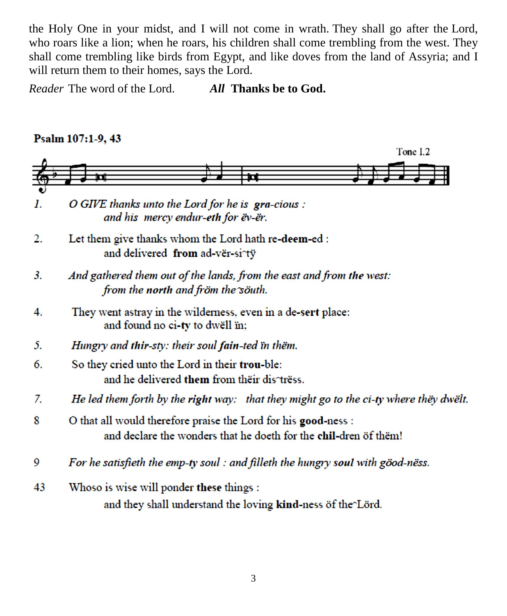the Holy One in your midst, and I will not come in wrath. They shall go after the Lord, who roars like a lion; when he roars, his children shall come trembling from the west. They shall come trembling like birds from Egypt, and like doves from the land of Assyria; and I will return them to their homes, says the Lord.

*Reader* The word of the Lord. *All* **Thanks be to God.**

#### Psalm 107:1-9, 43 Tone I.2  $\mathbf{I}$ . O GIVE thanks unto the Lord for he is gra-cious : and his mercy endur-eth for ëv-ër.  $\overline{2}$ . Let them give thanks whom the Lord hath re-deem-ed : and delivered from ad-vër-si^tÿ  $3.$ And gathered them out of the lands, from the east and from the west: from the north and fröm the söuth.  $\overline{4}$ . They went astray in the wilderness, even in a de-sert place: and found no ci-ty to dwell in: 5. Hungry and thir-sty: their soul fain-ted in them. So they cried unto the Lord in their trou-ble: 6. and he delivered them from their distress. He led them forth by the right way: that they might go to the ci-ty where they dwelt. 7. 8 O that all would therefore praise the Lord for his good-ness : and declare the wonders that he doeth for the chil-dren öf thëm! For he satisfieth the emp-ty soul : and filleth the hungry soul with göod-nëss. 9

 $43$ Whoso is wise will ponder these things : and they shall understand the loving kind-ness of the Lörd.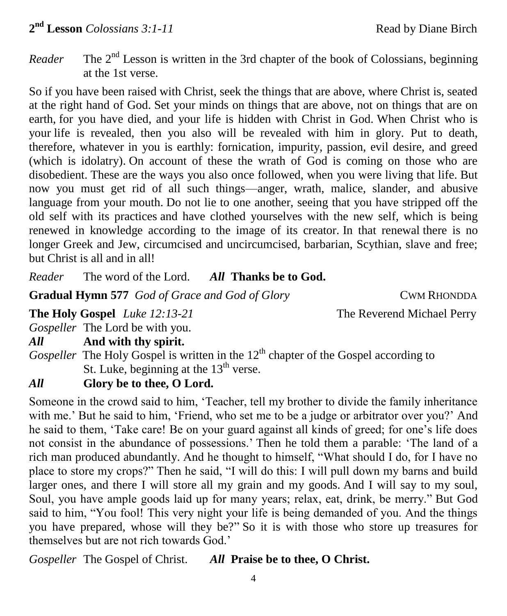*Reader* The  $2<sup>nd</sup>$  Lesson is written in the 3rd chapter of the book of Colossians, beginning at the 1st verse.

So if you have been raised with Christ, seek the things that are above, where Christ is, seated at the right hand of God. Set your minds on things that are above, not on things that are on earth, for you have died, and your life is hidden with Christ in God. When Christ who is your life is revealed, then you also will be revealed with him in glory. Put to death, therefore, whatever in you is earthly: fornication, impurity, passion, evil desire, and greed (which is idolatry). On account of these the wrath of God is coming on those who are disobedient. These are the ways you also once followed, when you were living that life. But now you must get rid of all such things—anger, wrath, malice, slander, and abusive language from your mouth. Do not lie to one another, seeing that you have stripped off the old self with its practices and have clothed yourselves with the new self, which is being renewed in knowledge according to the image of its creator. In that renewal there is no longer Greek and Jew, circumcised and uncircumcised, barbarian, Scythian, slave and free; but Christ is all and in all!

*Reader* The word of the Lord. *All* **Thanks be to God.** Î

**Gradual Hymn 577** *God of Grace and God of Glory* CWM RHONDDA

**The Holy Gospel** *Luke 12:13-21* **The Reverend Michael Perry** 

*Gospeller* The Lord be with you.

### *All* **And with thy spirit.**

*Gospeller* The Holy Gospel is written in the 12<sup>th</sup> chapter of the Gospel according to St. Luke, beginning at the  $13<sup>th</sup>$  verse.

## *All* **Glory be to thee, O Lord.**

Someone in the crowd said to him, 'Teacher, tell my brother to divide the family inheritance with me.' But he said to him, 'Friend, who set me to be a judge or arbitrator over you?' And he said to them, 'Take care! Be on your guard against all kinds of greed; for one's life does not consist in the abundance of possessions.' Then he told them a parable: 'The land of a rich man produced abundantly. And he thought to himself, "What should I do, for I have no place to store my crops?" Then he said, "I will do this: I will pull down my barns and build larger ones, and there I will store all my grain and my goods. And I will say to my soul, Soul, you have ample goods laid up for many years; relax, eat, drink, be merry." But God said to him, "You fool! This very night your life is being demanded of you. And the things you have prepared, whose will they be?" So it is with those who store up treasures for themselves but are not rich towards God.'

*Gospeller* The Gospel of Christ. *All* **Praise be to thee, O Christ.**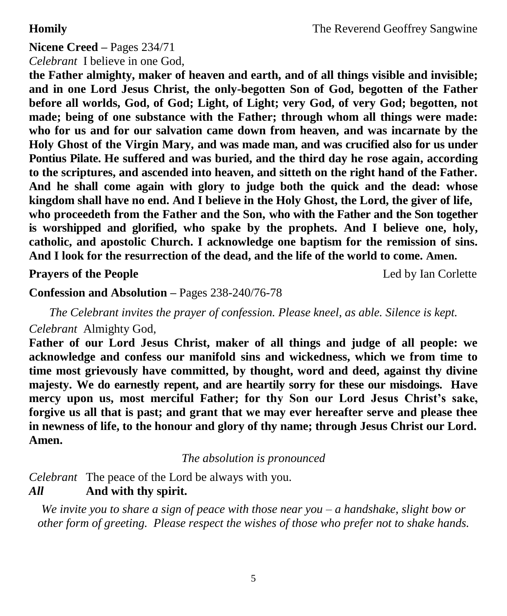# **Nicene Creed –** Pages 234/71

*Celebrant* I believe in one God,

**the Father almighty, maker of heaven and earth, and of all things visible and invisible; and in one Lord Jesus Christ, the only-begotten Son of God, begotten of the Father before all worlds, God, of God; Light, of Light; very God, of very God; begotten, not made; being of one substance with the Father; through whom all things were made: who for us and for our salvation came down from heaven, and was incarnate by the Holy Ghost of the Virgin Mary, and was made man, and was crucified also for us under Pontius Pilate. He suffered and was buried, and the third day he rose again, according to the scriptures, and ascended into heaven, and sitteth on the right hand of the Father. And he shall come again with glory to judge both the quick and the dead: whose kingdom shall have no end. And I believe in the Holy Ghost, the Lord, the giver of life, who proceedeth from the Father and the Son, who with the Father and the Son together is worshipped and glorified, who spake by the prophets. And I believe one, holy, catholic, and apostolic Church. I acknowledge one baptism for the remission of sins. And I look for the resurrection of the dead, and the life of the world to come. Amen.**

**Prayers of the People** Led by Ian Corlette

**Confession and Absolution –** Pages 238-240/76-78

*The Celebrant invites the prayer of confession. Please kneel, as able. Silence is kept.*

#### *Celebrant* Almighty God,

**Father of our Lord Jesus Christ, maker of all things and judge of all people: we acknowledge and confess our manifold sins and wickedness, which we from time to time most grievously have committed, by thought, word and deed, against thy divine majesty. We do earnestly repent, and are heartily sorry for these our misdoings. Have mercy upon us, most merciful Father; for thy Son our Lord Jesus Christ's sake, forgive us all that is past; and grant that we may ever hereafter serve and please thee in newness of life, to the honour and glory of thy name; through Jesus Christ our Lord. Amen.**

*The absolution is pronounced*

*Celebrant* The peace of the Lord be always with you.

## *All* **And with thy spirit.**

*We invite you to share a sign of peace with those near you – a handshake, slight bow or other form of greeting. Please respect the wishes of those who prefer not to shake hands.*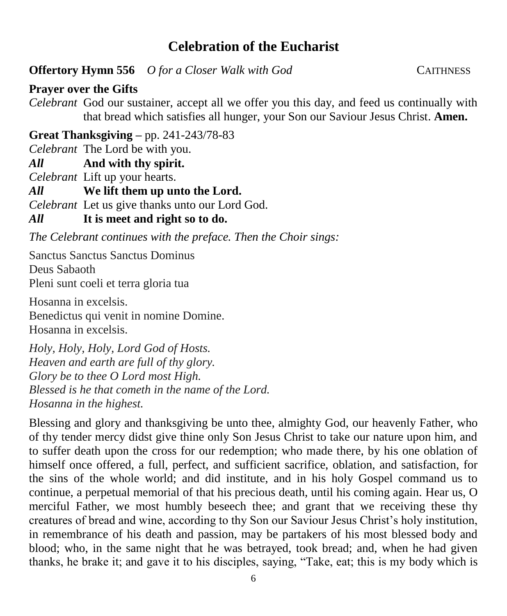# **Celebration of the Eucharist**

**Offertory Hymn 556** *O for a Closer Walk with God* CAITHNESS

**Prayer over the Gifts**

*Celebrant* God our sustainer, accept all we offer you this day, and feed us continually with that bread which satisfies all hunger, your Son our Saviour Jesus Christ. **Amen.**

**Great Thanksgiving –** pp. 241-243/78-83

*Celebrant* The Lord be with you.

*All* **And with thy spirit.** 

*Celebrant* Lift up your hearts.

*All* **We lift them up unto the Lord.** 

*Celebrant* Let us give thanks unto our Lord God.

## *All* **It is meet and right so to do.**

*The Celebrant continues with the preface. Then the Choir sings:*

Sanctus Sanctus Sanctus Dominus Deus Sabaoth Pleni sunt coeli et terra gloria tua

Hosanna in excelsis. Benedictus qui venit in nomine Domine. Hosanna in excelsis.

*Holy, Holy, Holy, Lord God of Hosts. Heaven and earth are full of thy glory. Glory be to thee O Lord most High. Blessed is he that cometh in the name of the Lord. Hosanna in the highest.*

Blessing and glory and thanksgiving be unto thee, almighty God, our heavenly Father, who of thy tender mercy didst give thine only Son Jesus Christ to take our nature upon him, and to suffer death upon the cross for our redemption; who made there, by his one oblation of himself once offered, a full, perfect, and sufficient sacrifice, oblation, and satisfaction, for the sins of the whole world; and did institute, and in his holy Gospel command us to continue, a perpetual memorial of that his precious death, until his coming again. Hear us, O merciful Father, we most humbly beseech thee; and grant that we receiving these thy creatures of bread and wine, according to thy Son our Saviour Jesus Christ's holy institution, in remembrance of his death and passion, may be partakers of his most blessed body and blood; who, in the same night that he was betrayed, took bread; and, when he had given thanks, he brake it; and gave it to his disciples, saying, "Take, eat; this is my body which is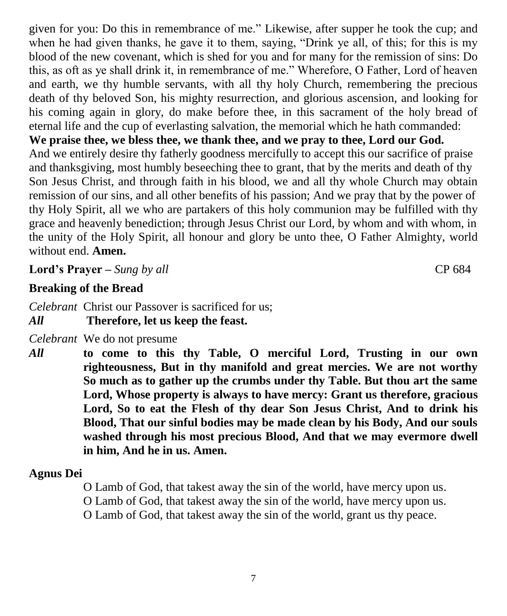given for you: Do this in remembrance of me." Likewise, after supper he took the cup; and when he had given thanks, he gave it to them, saying, "Drink ye all, of this; for this is my blood of the new covenant, which is shed for you and for many for the remission of sins: Do this, as oft as ye shall drink it, in remembrance of me." Wherefore, O Father, Lord of heaven and earth, we thy humble servants, with all thy holy Church, remembering the precious death of thy beloved Son, his mighty resurrection, and glorious ascension, and looking for his coming again in glory, do make before thee, in this sacrament of the holy bread of eternal life and the cup of everlasting salvation, the memorial which he hath commanded:

**We praise thee, we bless thee, we thank thee, and we pray to thee, Lord our God.**  And we entirely desire thy fatherly goodness mercifully to accept this our sacrifice of praise and thanksgiving, most humbly beseeching thee to grant, that by the merits and death of thy Son Jesus Christ, and through faith in his blood, we and all thy whole Church may obtain remission of our sins, and all other benefits of his passion; And we pray that by the power of thy Holy Spirit, all we who are partakers of this holy communion may be fulfilled with thy grace and heavenly benediction; through Jesus Christ our Lord, by whom and with whom, in the unity of the Holy Spirit, all honour and glory be unto thee, O Father Almighty, world without end. **Amen.**

**Lord's Prayer –** *Sung by all* CP 684

**Breaking of the Bread**

*Celebrant* Christ our Passover is sacrificed for us; *All* **Therefore, let us keep the feast.**

*Celebrant* We do not presume

*All* **to come to this thy Table, O merciful Lord, Trusting in our own righteousness, But in thy manifold and great mercies. We are not worthy So much as to gather up the crumbs under thy Table. But thou art the same Lord, Whose property is always to have mercy: Grant us therefore, gracious Lord, So to eat the Flesh of thy dear Son Jesus Christ, And to drink his Blood, That our sinful bodies may be made clean by his Body, And our souls washed through his most precious Blood, And that we may evermore dwell in him, And he in us. Amen.**

#### **Agnus Dei**

O Lamb of God, that takest away the sin of the world, have mercy upon us.

O Lamb of God, that takest away the sin of the world, have mercy upon us.

O Lamb of God, that takest away the sin of the world, grant us thy peace.